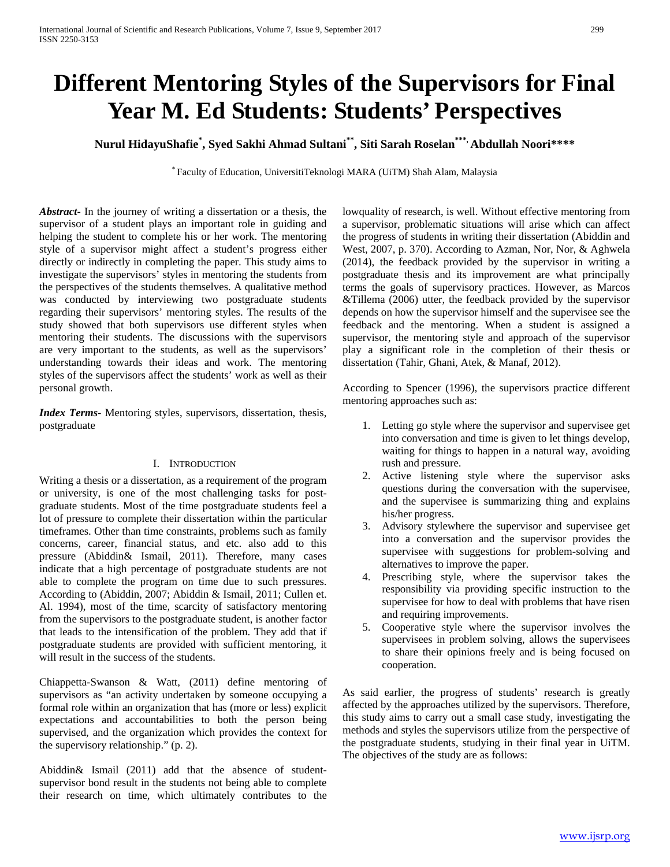# **Different Mentoring Styles of the Supervisors for Final Year M. Ed Students: Students' Perspectives**

**Nurul HidayuShafie\* , Syed Sakhi Ahmad Sultani\*\*, Siti Sarah Roselan\*\*\*, Abdullah Noori\*\*\*\***

\* Faculty of Education, UniversitiTeknologi MARA (UiTM) Shah Alam, Malaysia

*Abstract***-** In the journey of writing a dissertation or a thesis, the supervisor of a student plays an important role in guiding and helping the student to complete his or her work. The mentoring style of a supervisor might affect a student's progress either directly or indirectly in completing the paper. This study aims to investigate the supervisors' styles in mentoring the students from the perspectives of the students themselves. A qualitative method was conducted by interviewing two postgraduate students regarding their supervisors' mentoring styles. The results of the study showed that both supervisors use different styles when mentoring their students. The discussions with the supervisors are very important to the students, as well as the supervisors' understanding towards their ideas and work. The mentoring styles of the supervisors affect the students' work as well as their personal growth.

*Index Terms*- Mentoring styles, supervisors, dissertation, thesis, postgraduate

## I. INTRODUCTION

Writing a thesis or a dissertation, as a requirement of the program or university, is one of the most challenging tasks for postgraduate students. Most of the time postgraduate students feel a lot of pressure to complete their dissertation within the particular timeframes. Other than time constraints, problems such as family concerns, career, financial status, and etc. also add to this pressure (Abiddin& Ismail, 2011). Therefore, many cases indicate that a high percentage of postgraduate students are not able to complete the program on time due to such pressures. According to (Abiddin, 2007; Abiddin & Ismail, 2011; Cullen et. Al. 1994), most of the time, scarcity of satisfactory mentoring from the supervisors to the postgraduate student, is another factor that leads to the intensification of the problem. They add that if postgraduate students are provided with sufficient mentoring, it will result in the success of the students.

Chiappetta-Swanson & Watt, (2011) define mentoring of supervisors as "an activity undertaken by someone occupying a formal role within an organization that has (more or less) explicit expectations and accountabilities to both the person being supervised, and the organization which provides the context for the supervisory relationship." (p. 2).

Abiddin& Ismail (2011) add that the absence of studentsupervisor bond result in the students not being able to complete their research on time, which ultimately contributes to the lowquality of research, is well. Without effective mentoring from a supervisor, problematic situations will arise which can affect the progress of students in writing their dissertation (Abiddin and West, 2007, p. 370). According to Azman, Nor, Nor, & Aghwela (2014), the feedback provided by the supervisor in writing a postgraduate thesis and its improvement are what principally terms the goals of supervisory practices. However, as Marcos &Tillema (2006) utter, the feedback provided by the supervisor depends on how the supervisor himself and the supervisee see the feedback and the mentoring. When a student is assigned a supervisor, the mentoring style and approach of the supervisor play a significant role in the completion of their thesis or dissertation (Tahir, Ghani, Atek, & Manaf, 2012).

According to Spencer (1996), the supervisors practice different mentoring approaches such as:

- 1. Letting go style where the supervisor and supervisee get into conversation and time is given to let things develop, waiting for things to happen in a natural way, avoiding rush and pressure.
- 2. Active listening style where the supervisor asks questions during the conversation with the supervisee, and the supervisee is summarizing thing and explains his/her progress.
- 3. Advisory stylewhere the supervisor and supervisee get into a conversation and the supervisor provides the supervisee with suggestions for problem-solving and alternatives to improve the paper.
- 4. Prescribing style, where the supervisor takes the responsibility via providing specific instruction to the supervisee for how to deal with problems that have risen and requiring improvements.
- 5. Cooperative style where the supervisor involves the supervisees in problem solving, allows the supervisees to share their opinions freely and is being focused on cooperation.

As said earlier, the progress of students' research is greatly affected by the approaches utilized by the supervisors. Therefore, this study aims to carry out a small case study, investigating the methods and styles the supervisors utilize from the perspective of the postgraduate students, studying in their final year in UiTM. The objectives of the study are as follows: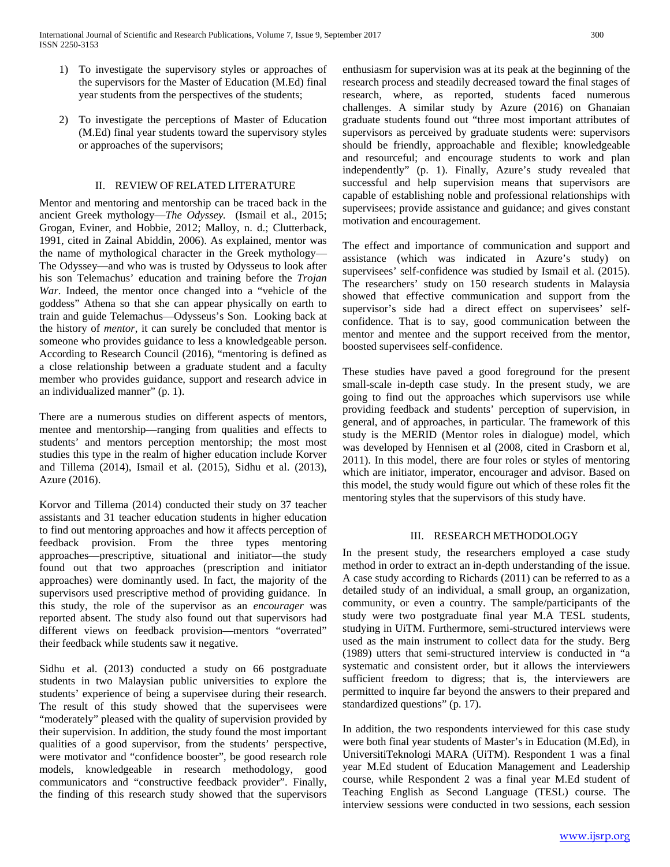- 1) To investigate the supervisory styles or approaches of the supervisors for the Master of Education (M.Ed) final year students from the perspectives of the students;
- 2) To investigate the perceptions of Master of Education (M.Ed) final year students toward the supervisory styles or approaches of the supervisors;

## II. REVIEW OF RELATED LITERATURE

Mentor and mentoring and mentorship can be traced back in the ancient Greek mythology—*The Odyssey.* (Ismail et al., 2015; Grogan, Eviner, and Hobbie, 2012; Malloy, n. d.; Clutterback, 1991, cited in Zainal Abiddin, 2006). As explained, mentor was the name of mythological character in the Greek mythology— The Odyssey—and who was is trusted by Odysseus to look after his son Telemachus' education and training before the *Trojan War*. Indeed, the mentor once changed into a "vehicle of the goddess" Athena so that she can appear physically on earth to train and guide Telemachus—Odysseus's Son. Looking back at the history of *mentor*, it can surely be concluded that mentor is someone who provides guidance to less a knowledgeable person. According to Research Council (2016), "mentoring is defined as a close relationship between a graduate student and a faculty member who provides guidance, support and research advice in an individualized manner" (p. 1).

There are a numerous studies on different aspects of mentors, mentee and mentorship—ranging from qualities and effects to students' and mentors perception mentorship; the most most studies this type in the realm of higher education include Korver and Tillema (2014), Ismail et al. (2015), Sidhu et al. (2013), Azure (2016).

Korvor and Tillema (2014) conducted their study on 37 teacher assistants and 31 teacher education students in higher education to find out mentoring approaches and how it affects perception of feedback provision. From the three types mentoring approaches—prescriptive, situational and initiator—the study found out that two approaches (prescription and initiator approaches) were dominantly used. In fact, the majority of the supervisors used prescriptive method of providing guidance. In this study, the role of the supervisor as an *encourager* was reported absent. The study also found out that supervisors had different views on feedback provision—mentors "overrated" their feedback while students saw it negative.

Sidhu et al. (2013) conducted a study on 66 postgraduate students in two Malaysian public universities to explore the students' experience of being a supervisee during their research. The result of this study showed that the supervisees were "moderately" pleased with the quality of supervision provided by their supervision. In addition, the study found the most important qualities of a good supervisor, from the students' perspective, were motivator and "confidence booster", be good research role models, knowledgeable in research methodology, good communicators and "constructive feedback provider". Finally, the finding of this research study showed that the supervisors enthusiasm for supervision was at its peak at the beginning of the research process and steadily decreased toward the final stages of research, where, as reported, students faced numerous challenges. A similar study by Azure (2016) on Ghanaian graduate students found out "three most important attributes of supervisors as perceived by graduate students were: supervisors should be friendly, approachable and flexible; knowledgeable and resourceful; and encourage students to work and plan independently" (p. 1). Finally, Azure's study revealed that successful and help supervision means that supervisors are capable of establishing noble and professional relationships with supervisees; provide assistance and guidance; and gives constant motivation and encouragement.

The effect and importance of communication and support and assistance (which was indicated in Azure's study) on supervisees' self-confidence was studied by Ismail et al. (2015). The researchers' study on 150 research students in Malaysia showed that effective communication and support from the supervisor's side had a direct effect on supervisees' selfconfidence. That is to say, good communication between the mentor and mentee and the support received from the mentor, boosted supervisees self-confidence.

These studies have paved a good foreground for the present small-scale in-depth case study. In the present study, we are going to find out the approaches which supervisors use while providing feedback and students' perception of supervision, in general, and of approaches, in particular. The framework of this study is the MERID (Mentor roles in dialogue) model, which was developed by Hennisen et al (2008, cited in Crasborn et al, 2011). In this model, there are four roles or styles of mentoring which are initiator, imperator, encourager and advisor. Based on this model, the study would figure out which of these roles fit the mentoring styles that the supervisors of this study have.

## III. RESEARCH METHODOLOGY

In the present study, the researchers employed a case study method in order to extract an in-depth understanding of the issue. A case study according to Richards (2011) can be referred to as a detailed study of an individual, a small group, an organization, community, or even a country. The sample/participants of the study were two postgraduate final year M.A TESL students, studying in UiTM. Furthermore, semi-structured interviews were used as the main instrument to collect data for the study. Berg (1989) utters that semi-structured interview is conducted in "a systematic and consistent order, but it allows the interviewers sufficient freedom to digress; that is, the interviewers are permitted to inquire far beyond the answers to their prepared and standardized questions" (p. 17).

In addition, the two respondents interviewed for this case study were both final year students of Master's in Education (M.Ed), in UniversitiTeknologi MARA (UiTM). Respondent 1 was a final year M.Ed student of Education Management and Leadership course, while Respondent 2 was a final year M.Ed student of Teaching English as Second Language (TESL) course. The interview sessions were conducted in two sessions, each session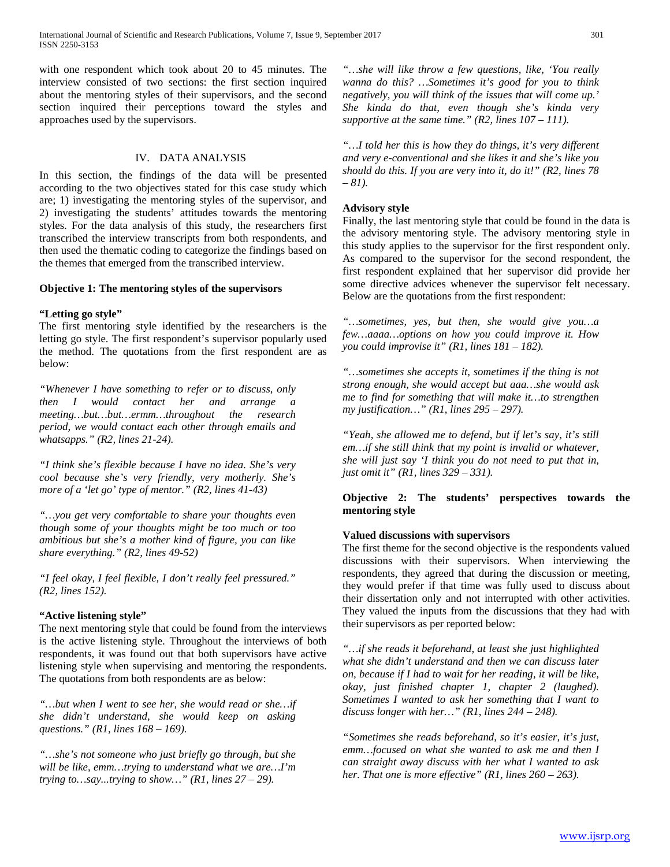with one respondent which took about 20 to 45 minutes. The interview consisted of two sections: the first section inquired about the mentoring styles of their supervisors, and the second section inquired their perceptions toward the styles and approaches used by the supervisors.

## IV. DATA ANALYSIS

In this section, the findings of the data will be presented according to the two objectives stated for this case study which are; 1) investigating the mentoring styles of the supervisor, and 2) investigating the students' attitudes towards the mentoring styles. For the data analysis of this study, the researchers first transcribed the interview transcripts from both respondents, and then used the thematic coding to categorize the findings based on the themes that emerged from the transcribed interview.

### **Objective 1: The mentoring styles of the supervisors**

## **"Letting go style"**

The first mentoring style identified by the researchers is the letting go style. The first respondent's supervisor popularly used the method. The quotations from the first respondent are as below:

*"Whenever I have something to refer or to discuss, only then I would contact her and arrange a meeting…but…but…ermm…throughout the research period, we would contact each other through emails and whatsapps." (R2, lines 21-24).*

*"I think she's flexible because I have no idea. She's very cool because she's very friendly, very motherly. She's more of a 'let go' type of mentor." (R2, lines 41-43)*

*"…you get very comfortable to share your thoughts even though some of your thoughts might be too much or too ambitious but she's a mother kind of figure, you can like share everything." (R2, lines 49-52)*

*"I feel okay, I feel flexible, I don't really feel pressured." (R2, lines 152).*

## **"Active listening style"**

The next mentoring style that could be found from the interviews is the active listening style. Throughout the interviews of both respondents, it was found out that both supervisors have active listening style when supervising and mentoring the respondents. The quotations from both respondents are as below:

*"…but when I went to see her, she would read or she…if she didn't understand, she would keep on asking questions." (R1, lines 168 – 169).*

*"…she's not someone who just briefly go through, but she will be like, emm…trying to understand what we are…I'm trying to…say...trying to show...*" *(R1, lines*  $27 - 29$ *).* 

*"…she will like throw a few questions, like, 'You really wanna do this? …Sometimes it's good for you to think negatively, you will think of the issues that will come up.' She kinda do that, even though she's kinda very supportive at the same time." (R2, lines 107 – 111).*

*"…I told her this is how they do things, it's very different and very e-conventional and she likes it and she's like you should do this. If you are very into it, do it!" (R2, lines 78 – 81).*

### **Advisory style**

Finally, the last mentoring style that could be found in the data is the advisory mentoring style. The advisory mentoring style in this study applies to the supervisor for the first respondent only. As compared to the supervisor for the second respondent, the first respondent explained that her supervisor did provide her some directive advices whenever the supervisor felt necessary. Below are the quotations from the first respondent:

*"…sometimes, yes, but then, she would give you…a few…aaaa…options on how you could improve it. How you could improvise it" (R1, lines 181 – 182).*

*"…sometimes she accepts it, sometimes if the thing is not strong enough, she would accept but aaa…she would ask me to find for something that will make it…to strengthen my justification…" (R1, lines 295 – 297).*

*"Yeah, she allowed me to defend, but if let's say, it's still em…if she still think that my point is invalid or whatever, she will just say 'I think you do not need to put that in, just omit it" (R1, lines 329 – 331).*

## **Objective 2: The students' perspectives towards the mentoring style**

## **Valued discussions with supervisors**

The first theme for the second objective is the respondents valued discussions with their supervisors. When interviewing the respondents, they agreed that during the discussion or meeting, they would prefer if that time was fully used to discuss about their dissertation only and not interrupted with other activities. They valued the inputs from the discussions that they had with their supervisors as per reported below:

*"…if she reads it beforehand, at least she just highlighted what she didn't understand and then we can discuss later on, because if I had to wait for her reading, it will be like, okay, just finished chapter 1, chapter 2 (laughed). Sometimes I wanted to ask her something that I want to discuss longer with her…" (R1, lines 244 – 248).*

*"Sometimes she reads beforehand, so it's easier, it's just, emm…focused on what she wanted to ask me and then I can straight away discuss with her what I wanted to ask her. That one is more effective" (R1, lines 260 – 263).*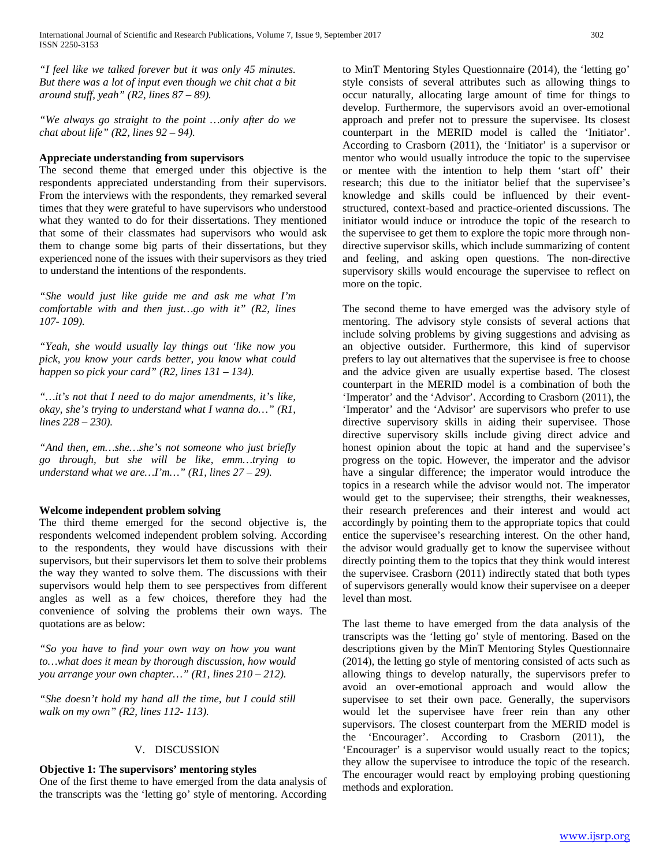*"I feel like we talked forever but it was only 45 minutes. But there was a lot of input even though we chit chat a bit around stuff, yeah" (R2, lines 87 – 89).*

*"We always go straight to the point …only after do we chat about life" (R2, lines 92 – 94).*

## **Appreciate understanding from supervisors**

The second theme that emerged under this objective is the respondents appreciated understanding from their supervisors. From the interviews with the respondents, they remarked several times that they were grateful to have supervisors who understood what they wanted to do for their dissertations. They mentioned that some of their classmates had supervisors who would ask them to change some big parts of their dissertations, but they experienced none of the issues with their supervisors as they tried to understand the intentions of the respondents.

*"She would just like guide me and ask me what I'm comfortable with and then just…go with it" (R2, lines 107- 109).*

*"Yeah, she would usually lay things out 'like now you pick, you know your cards better, you know what could happen so pick your card" (R2, lines 131 – 134).*

*"…it's not that I need to do major amendments, it's like, okay, she's trying to understand what I wanna do…" (R1, lines 228 – 230).*

*"And then, em…she…she's not someone who just briefly go through, but she will be like, emm…trying to understand what we are…I'm…" (R1, lines 27 – 29).*

#### **Welcome independent problem solving**

The third theme emerged for the second objective is, the respondents welcomed independent problem solving. According to the respondents, they would have discussions with their supervisors, but their supervisors let them to solve their problems the way they wanted to solve them. The discussions with their supervisors would help them to see perspectives from different angles as well as a few choices, therefore they had the convenience of solving the problems their own ways. The quotations are as below:

*"So you have to find your own way on how you want to…what does it mean by thorough discussion, how would you arrange your own chapter…" (R1, lines 210 – 212).*

*"She doesn't hold my hand all the time, but I could still walk on my own" (R2, lines 112- 113).*

#### V. DISCUSSION

#### **Objective 1: The supervisors' mentoring styles**

One of the first theme to have emerged from the data analysis of the transcripts was the 'letting go' style of mentoring. According to MinT Mentoring Styles Questionnaire (2014), the 'letting go' style consists of several attributes such as allowing things to occur naturally, allocating large amount of time for things to develop. Furthermore, the supervisors avoid an over-emotional approach and prefer not to pressure the supervisee. Its closest counterpart in the MERID model is called the 'Initiator'. According to Crasborn (2011), the 'Initiator' is a supervisor or mentor who would usually introduce the topic to the supervisee or mentee with the intention to help them 'start off' their research; this due to the initiator belief that the supervisee's knowledge and skills could be influenced by their eventstructured, context-based and practice-oriented discussions. The initiator would induce or introduce the topic of the research to the supervisee to get them to explore the topic more through nondirective supervisor skills, which include summarizing of content and feeling, and asking open questions. The non-directive supervisory skills would encourage the supervisee to reflect on more on the topic.

The second theme to have emerged was the advisory style of mentoring. The advisory style consists of several actions that include solving problems by giving suggestions and advising as an objective outsider. Furthermore, this kind of supervisor prefers to lay out alternatives that the supervisee is free to choose and the advice given are usually expertise based. The closest counterpart in the MERID model is a combination of both the 'Imperator' and the 'Advisor'. According to Crasborn (2011), the 'Imperator' and the 'Advisor' are supervisors who prefer to use directive supervisory skills in aiding their supervisee. Those directive supervisory skills include giving direct advice and honest opinion about the topic at hand and the supervisee's progress on the topic. However, the imperator and the advisor have a singular difference; the imperator would introduce the topics in a research while the advisor would not. The imperator would get to the supervisee; their strengths, their weaknesses, their research preferences and their interest and would act accordingly by pointing them to the appropriate topics that could entice the supervisee's researching interest. On the other hand, the advisor would gradually get to know the supervisee without directly pointing them to the topics that they think would interest the supervisee. Crasborn (2011) indirectly stated that both types of supervisors generally would know their supervisee on a deeper level than most.

The last theme to have emerged from the data analysis of the transcripts was the 'letting go' style of mentoring. Based on the descriptions given by the MinT Mentoring Styles Questionnaire (2014), the letting go style of mentoring consisted of acts such as allowing things to develop naturally, the supervisors prefer to avoid an over-emotional approach and would allow the supervisee to set their own pace. Generally, the supervisors would let the supervisee have freer rein than any other supervisors. The closest counterpart from the MERID model is the 'Encourager'. According to Crasborn (2011), the 'Encourager' is a supervisor would usually react to the topics; they allow the supervisee to introduce the topic of the research. The encourager would react by employing probing questioning methods and exploration.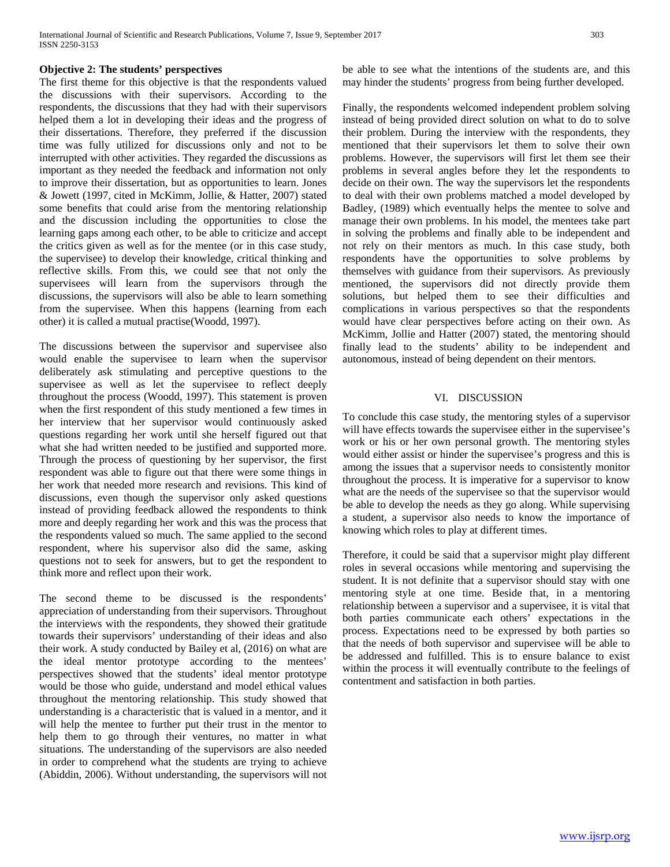## **Objective 2: The students' perspectives**

The first theme for this objective is that the respondents valued the discussions with their supervisors. According to the respondents, the discussions that they had with their supervisors helped them a lot in developing their ideas and the progress of their dissertations. Therefore, they preferred if the discussion time was fully utilized for discussions only and not to be interrupted with other activities. They regarded the discussions as important as they needed the feedback and information not only to improve their dissertation, but as opportunities to learn. Jones & Jowett (1997, cited in McKimm, Jollie, & Hatter, 2007) stated some benefits that could arise from the mentoring relationship and the discussion including the opportunities to close the learning gaps among each other, to be able to criticize and accept the critics given as well as for the mentee (or in this case study, the supervisee) to develop their knowledge, critical thinking and reflective skills. From this, we could see that not only the supervisees will learn from the supervisors through the discussions, the supervisors will also be able to learn something from the supervisee. When this happens (learning from each other) it is called a mutual practise(Woodd, 1997).

The discussions between the supervisor and supervisee also would enable the supervisee to learn when the supervisor deliberately ask stimulating and perceptive questions to the supervisee as well as let the supervisee to reflect deeply throughout the process (Woodd, 1997). This statement is proven when the first respondent of this study mentioned a few times in her interview that her supervisor would continuously asked questions regarding her work until she herself figured out that what she had written needed to be justified and supported more. Through the process of questioning by her supervisor, the first respondent was able to figure out that there were some things in her work that needed more research and revisions. This kind of discussions, even though the supervisor only asked questions instead of providing feedback allowed the respondents to think more and deeply regarding her work and this was the process that the respondents valued so much. The same applied to the second respondent, where his supervisor also did the same, asking questions not to seek for answers, but to get the respondent to think more and reflect upon their work.

The second theme to be discussed is the respondents' appreciation of understanding from their supervisors. Throughout the interviews with the respondents, they showed their gratitude towards their supervisors' understanding of their ideas and also their work. A study conducted by Bailey et al, (2016) on what are the ideal mentor prototype according to the mentees' perspectives showed that the students' ideal mentor prototype would be those who guide, understand and model ethical values throughout the mentoring relationship. This study showed that understanding is a characteristic that is valued in a mentor, and it will help the mentee to further put their trust in the mentor to help them to go through their ventures, no matter in what situations. The understanding of the supervisors are also needed in order to comprehend what the students are trying to achieve (Abiddin, 2006). Without understanding, the supervisors will not

be able to see what the intentions of the students are, and this may hinder the students' progress from being further developed.

Finally, the respondents welcomed independent problem solving instead of being provided direct solution on what to do to solve their problem. During the interview with the respondents, they mentioned that their supervisors let them to solve their own problems. However, the supervisors will first let them see their problems in several angles before they let the respondents to decide on their own. The way the supervisors let the respondents to deal with their own problems matched a model developed by Badley, (1989) which eventually helps the mentee to solve and manage their own problems. In his model, the mentees take part in solving the problems and finally able to be independent and not rely on their mentors as much. In this case study, both respondents have the opportunities to solve problems by themselves with guidance from their supervisors. As previously mentioned, the supervisors did not directly provide them solutions, but helped them to see their difficulties and complications in various perspectives so that the respondents would have clear perspectives before acting on their own. As McKimm, Jollie and Hatter (2007) stated, the mentoring should finally lead to the students' ability to be independent and autonomous, instead of being dependent on their mentors.

## VI. DISCUSSION

To conclude this case study, the mentoring styles of a supervisor will have effects towards the supervisee either in the supervisee's work or his or her own personal growth. The mentoring styles would either assist or hinder the supervisee's progress and this is among the issues that a supervisor needs to consistently monitor throughout the process. It is imperative for a supervisor to know what are the needs of the supervisee so that the supervisor would be able to develop the needs as they go along. While supervising a student, a supervisor also needs to know the importance of knowing which roles to play at different times.

Therefore, it could be said that a supervisor might play different roles in several occasions while mentoring and supervising the student. It is not definite that a supervisor should stay with one mentoring style at one time. Beside that, in a mentoring relationship between a supervisor and a supervisee, it is vital that both parties communicate each others' expectations in the process. Expectations need to be expressed by both parties so that the needs of both supervisor and supervisee will be able to be addressed and fulfilled. This is to ensure balance to exist within the process it will eventually contribute to the feelings of contentment and satisfaction in both parties.